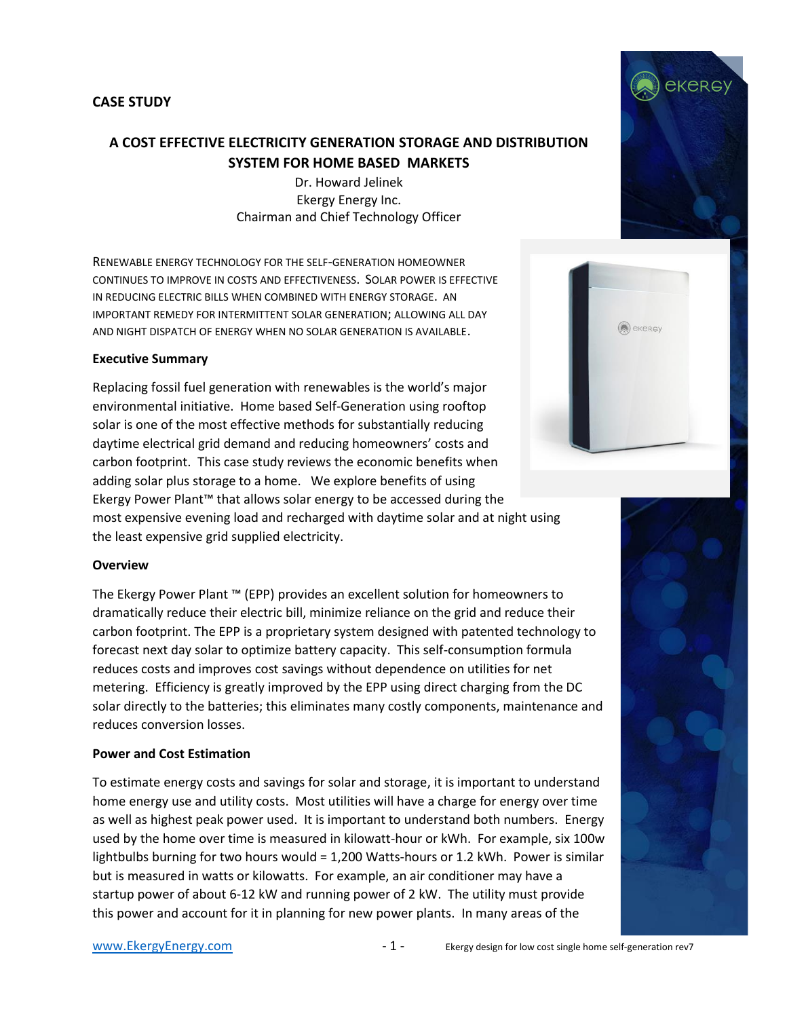## **CASE STUDY**

# **A COST EFFECTIVE ELECTRICITY GENERATION STORAGE AND DISTRIBUTION SYSTEM FOR HOME BASED MARKETS**

Dr. Howard Jelinek Ekergy Energy Inc. Chairman and Chief Technology Officer

RENEWABLE ENERGY TECHNOLOGY FOR THE SELF-GENERATION HOMEOWNER CONTINUES TO IMPROVE IN COSTS AND EFFECTIVENESS. SOLAR POWER IS EFFECTIVE IN REDUCING ELECTRIC BILLS WHEN COMBINED WITH ENERGY STORAGE. AN IMPORTANT REMEDY FOR INTERMITTENT SOLAR GENERATION; ALLOWING ALL DAY AND NIGHT DISPATCH OF ENERGY WHEN NO SOLAR GENERATION IS AVAILABLE.

#### **Executive Summary**

Replacing fossil fuel generation with renewables is the world's major environmental initiative. Home based Self-Generation using rooftop solar is one of the most effective methods for substantially reducing daytime electrical grid demand and reducing homeowners' costs and carbon footprint. This case study reviews the economic benefits when adding solar plus storage to a home. We explore benefits of using Ekergy Power Plant™ that allows solar energy to be accessed during the most expensive evening load and recharged with daytime solar and at night using the least expensive grid supplied electricity.

#### **Overview**

The Ekergy Power Plant ™ (EPP) provides an excellent solution for homeowners to dramatically reduce their electric bill, minimize reliance on the grid and reduce their carbon footprint. The EPP is a proprietary system designed with patented technology to forecast next day solar to optimize battery capacity. This self-consumption formula reduces costs and improves cost savings without dependence on utilities for net metering. Efficiency is greatly improved by the EPP using direct charging from the DC solar directly to the batteries; this eliminates many costly components, maintenance and reduces conversion losses.

#### **Power and Cost Estimation**

To estimate energy costs and savings for solar and storage, it is important to understand home energy use and utility costs. Most utilities will have a charge for energy over time as well as highest peak power used. It is important to understand both numbers. Energy used by the home over time is measured in kilowatt-hour or kWh. For example, six 100w lightbulbs burning for two hours would = 1,200 Watts-hours or 1.2 kWh. Power is similar but is measured in watts or kilowatts. For example, an air conditioner may have a startup power of about 6-12 kW and running power of 2 kW. The utility must provide this power and account for it in planning for new power plants. In many areas of the



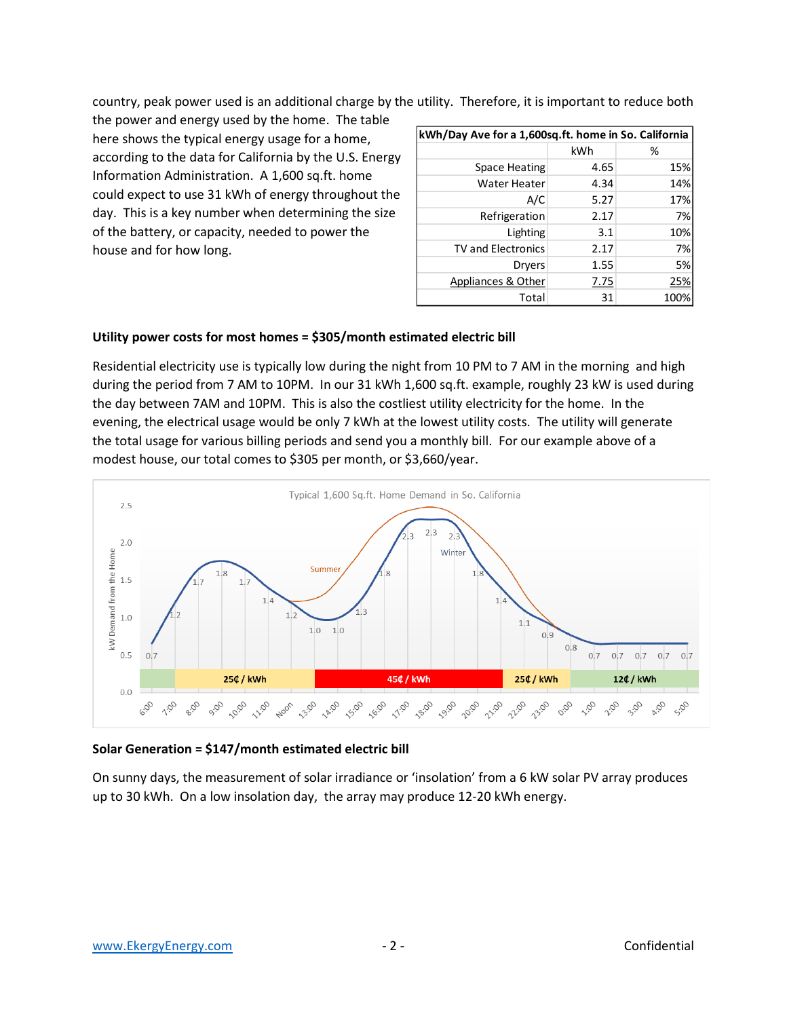country, peak power used is an additional charge by the utility. Therefore, it is important to reduce both

the power and energy used by the home. The table here shows the typical energy usage for a home, according to the data for California by the U.S. Energy Information Administration. A 1,600 sq.ft. home could expect to use 31 kWh of energy throughout the day. This is a key number when determining the size of the battery, or capacity, needed to power the house and for how long.

| kWh/Day Ave for a 1,600sq.ft. home in So. California |      |      |
|------------------------------------------------------|------|------|
|                                                      | kWh  | %    |
| Space Heating                                        | 4.65 | 15%  |
| <b>Water Heater</b>                                  | 4.34 | 14%  |
| A/C                                                  | 5.27 | 17%  |
| Refrigeration                                        | 2.17 | 7%   |
| Lighting                                             | 3.1  | 10%  |
| <b>TV and Electronics</b>                            | 2.17 | 7%   |
| <b>Dryers</b>                                        | 1.55 | 5%   |
| Appliances & Other                                   | 7.75 | 25%  |
| Total                                                | 31   | 1009 |

## **Utility power costs for most homes = \$305/month estimated electric bill**

Residential electricity use is typically low during the night from 10 PM to 7 AM in the morning and high during the period from 7 AM to 10PM. In our 31 kWh 1,600 sq.ft. example, roughly 23 kW is used during the day between 7AM and 10PM. This is also the costliest utility electricity for the home. In the evening, the electrical usage would be only 7 kWh at the lowest utility costs. The utility will generate the total usage for various billing periods and send you a monthly bill. For our example above of a modest house, our total comes to \$305 per month, or \$3,660/year.



## **Solar Generation = \$147/month estimated electric bill**

On sunny days, the measurement of solar irradiance or 'insolation' from a 6 kW solar PV array produces up to 30 kWh. On a low insolation day, the array may produce 12-20 kWh energy.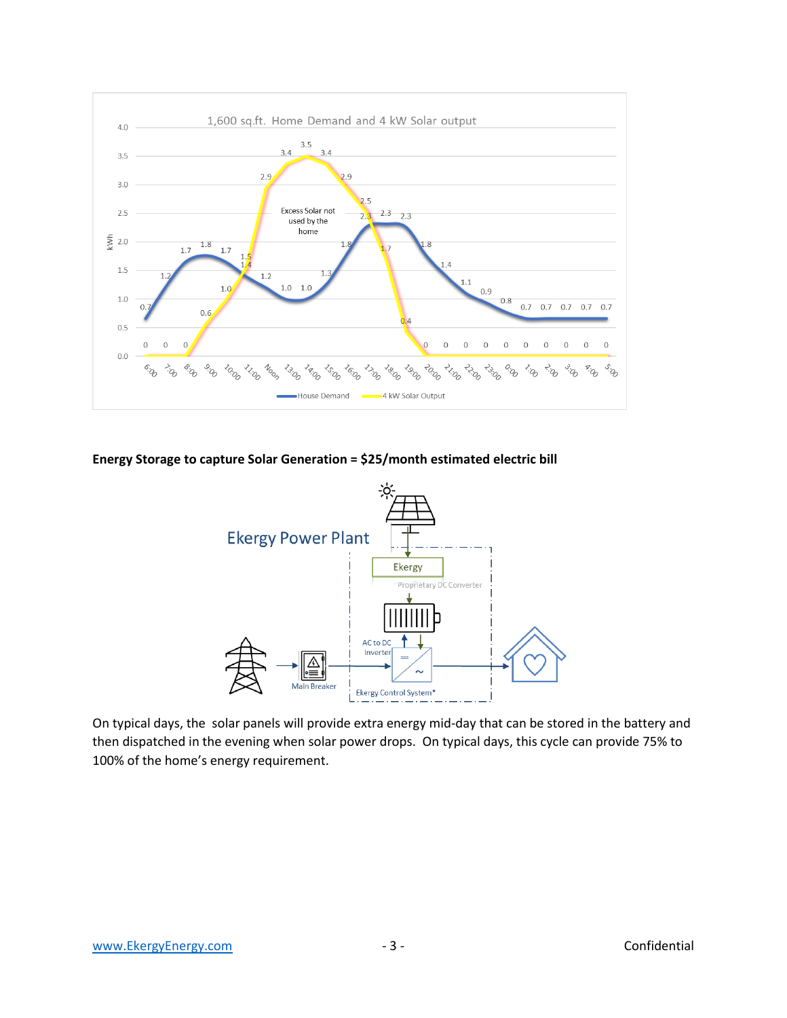

**Energy Storage to capture Solar Generation = \$25/month estimated electric bill**



On typical days, the solar panels will provide extra energy mid-day that can be stored in the battery and then dispatched in the evening when solar power drops. On typical days, this cycle can provide 75% to 100% of the home's energy requirement.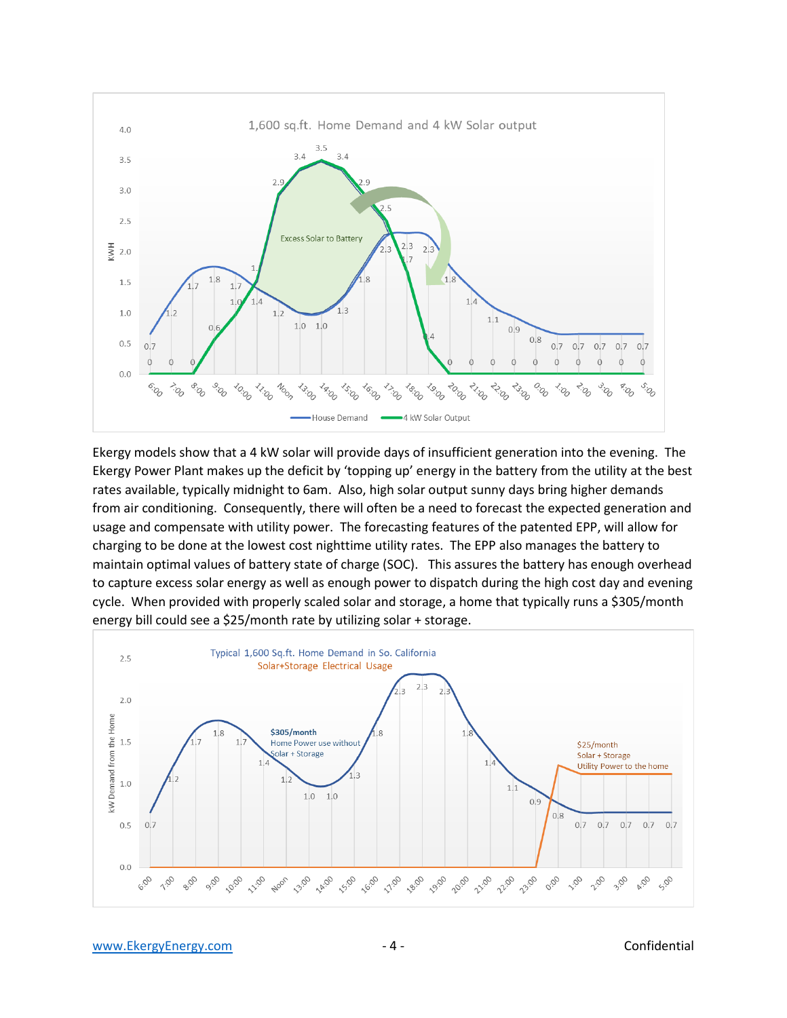

Ekergy models show that a 4 kW solar will provide days of insufficient generation into the evening. The Ekergy Power Plant makes up the deficit by 'topping up' energy in the battery from the utility at the best rates available, typically midnight to 6am. Also, high solar output sunny days bring higher demands from air conditioning. Consequently, there will often be a need to forecast the expected generation and usage and compensate with utility power. The forecasting features of the patented EPP, will allow for charging to be done at the lowest cost nighttime utility rates. The EPP also manages the battery to maintain optimal values of battery state of charge (SOC). This assures the battery has enough overhead to capture excess solar energy as well as enough power to dispatch during the high cost day and evening cycle. When provided with properly scaled solar and storage, a home that typically runs a \$305/month energy bill could see a \$25/month rate by utilizing solar + storage.

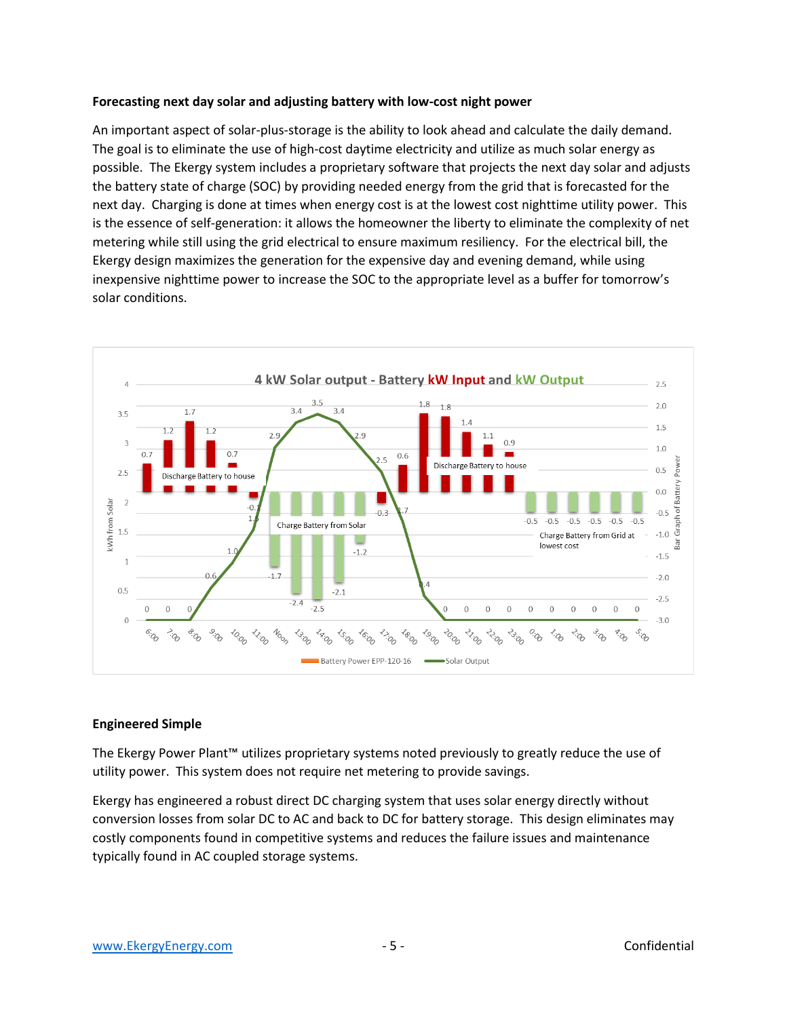#### **Forecasting next day solar and adjusting battery with low-cost night power**

An important aspect of solar-plus-storage is the ability to look ahead and calculate the daily demand. The goal is to eliminate the use of high-cost daytime electricity and utilize as much solar energy as possible. The Ekergy system includes a proprietary software that projects the next day solar and adjusts the battery state of charge (SOC) by providing needed energy from the grid that is forecasted for the next day. Charging is done at times when energy cost is at the lowest cost nighttime utility power. This is the essence of self-generation: it allows the homeowner the liberty to eliminate the complexity of net metering while still using the grid electrical to ensure maximum resiliency. For the electrical bill, the Ekergy design maximizes the generation for the expensive day and evening demand, while using inexpensive nighttime power to increase the SOC to the appropriate level as a buffer for tomorrow's solar conditions.



## **Engineered Simple**

The Ekergy Power Plant™ utilizes proprietary systems noted previously to greatly reduce the use of utility power. This system does not require net metering to provide savings.

Ekergy has engineered a robust direct DC charging system that uses solar energy directly without conversion losses from solar DC to AC and back to DC for battery storage. This design eliminates may costly components found in competitive systems and reduces the failure issues and maintenance typically found in AC coupled storage systems.